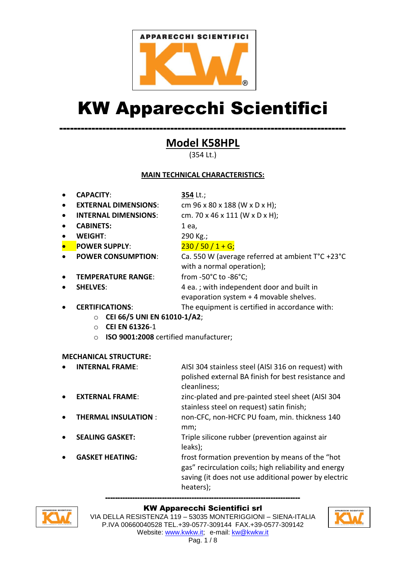

# KW Apparecchi Scientifici

## -------------------------------------------------------------------------------- **Model K58HPL**

(354 Lt.)

#### **MAIN TECHNICAL CHARACTERISTICS:**

**CAPACITY**: **354** Lt.;

- **EXTERNAL DIMENSIONS**: cm 96 x 80 x 188 (W x D x H);
- **INTERNAL DIMENSIONS**: cm. 70 x 46 x 111 (W x D x H);
- **CABINETS:** 1 ea.
- **WEIGHT**: 290 Kg.;

# **POWER SUPPLY:** 230 / 50 / 1 + G;

- 
- **TEMPERATURE RANGE:** from -50°C to -86°C;
- 
- **POWER CONSUMPTION**: Ca. 550 W (average referred at ambient T°C +23°C with a normal operation);

**SHELVES:** A ea. ; with independent door and built in evaporation system + 4 movable shelves.

- **CERTIFICATIONS**: The equipment is certified in accordance with:
	- o **CEI 66/5 UNI EN 61010-1/A2**;
	- o **CEI EN 61326**-1
	- o **ISO 9001:2008** certified manufacturer;

#### **MECHANICAL STRUCTURE:**

 **INTERNAL FRAME**: AISI 304 stainless steel (AISI 316 on request) with polished external BA finish for best resistance and cleanliness;

- **EXTERNAL FRAME:** zinc-plated and pre-painted steel sheet (AISI 304 stainless steel on request) satin finish;
- **THERMAL INSULATION** : non-CFC, non-HCFC PU foam, min. thickness 140 mm;
- **SEALING GASKET:** Triple silicone rubber (prevention against air leaks);
- **GASKET HEATING***:* frost formation prevention by means of the "hot gas" recirculation coils; high reliability and energy saving (it does not use additional power by electric heaters);



#### ------------------------------------------------------------------------------- KW Apparecchi Scientifici srl

VIA DELLA RESISTENZA 119 – 53035 MONTERIGGIONI – SIENA-ITALIA P.IVA 00660040528 TEL.+39-0577-309144 FAX.+39-0577-309142 Website: www.kwkw.it; e-mail: kw@kwkw.it

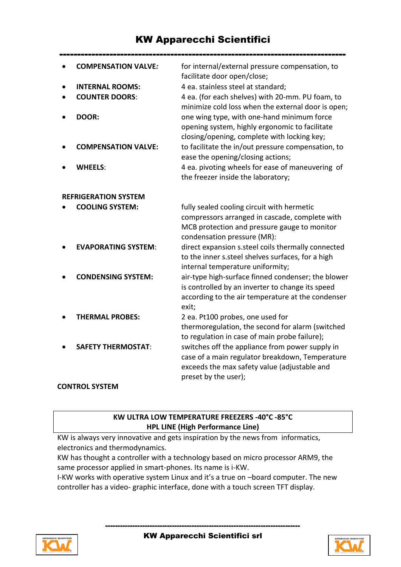### KW Apparecchi Scientifici

|                             | <b>COMPENSATION VALVE:</b> | for internal/external pressure compensation, to<br>facilitate door open/close;                                                                                              |
|-----------------------------|----------------------------|-----------------------------------------------------------------------------------------------------------------------------------------------------------------------------|
|                             | <b>INTERNAL ROOMS:</b>     | 4 ea. stainless steel at standard;                                                                                                                                          |
|                             | <b>COUNTER DOORS:</b>      | 4 ea. (for each shelves) with 20-mm. PU foam, to<br>minimize cold loss when the external door is open;                                                                      |
|                             | DOOR:                      | one wing type, with one-hand minimum force<br>opening system, highly ergonomic to facilitate<br>closing/opening, complete with locking key;                                 |
|                             | <b>COMPENSATION VALVE:</b> | to facilitate the in/out pressure compensation, to<br>ease the opening/closing actions;                                                                                     |
|                             | <b>WHEELS:</b>             | 4 ea. pivoting wheels for ease of maneuvering of<br>the freezer inside the laboratory;                                                                                      |
| <b>REFRIGERATION SYSTEM</b> |                            |                                                                                                                                                                             |
|                             | <b>COOLING SYSTEM:</b>     | fully sealed cooling circuit with hermetic<br>compressors arranged in cascade, complete with<br>MCB protection and pressure gauge to monitor<br>condensation pressure (MR): |
|                             | <b>EVAPORATING SYSTEM:</b> | direct expansion s.steel coils thermally connected<br>to the inner s.steel shelves surfaces, for a high<br>internal temperature uniformity;                                 |
|                             | <b>CONDENSING SYSTEM:</b>  | air-type high-surface finned condenser; the blower<br>is controlled by an inverter to change its speed<br>according to the air temperature at the condenser<br>exit;        |
|                             | <b>THERMAL PROBES:</b>     | 2 ea. Pt100 probes, one used for<br>thermoregulation, the second for alarm (switched<br>to regulation in case of main probe failure);                                       |
|                             | <b>SAFETY THERMOSTAT:</b>  | switches off the appliance from power supply in<br>case of a main regulator breakdown, Temperature<br>exceeds the max safety value (adjustable and<br>preset by the user);  |

#### **CONTROL SYSTEM**

#### **KW ULTRA LOW TEMPERATURE FREEZERS -40°C -85°C HPL LINE (High Performance Line)**

KW is always very innovative and gets inspiration by the news from informatics, electronics and thermodynamics.

KW has thought a controller with a technology based on micro processor ARM9, the same processor applied in smart-phones. Its name is i-KW.

I-KW works with operative system Linux and it's a true on –board computer. The new controller has a video- graphic interface, done with a touch screen TFT display.



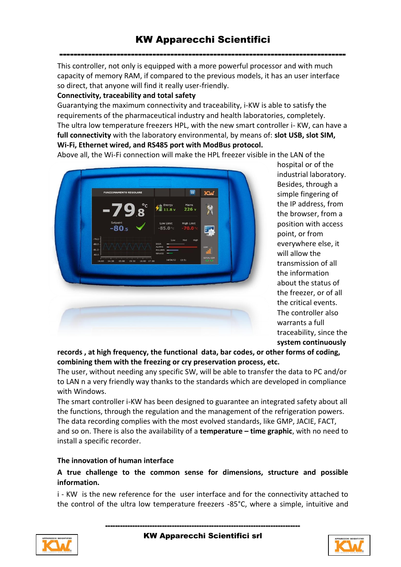This controller, not only is equipped with a more powerful processor and with much capacity of memory RAM, if compared to the previous models, it has an user interface so direct, that anyone will find it really user-friendly.

#### **Connectivity, traceability and total safety**

Guarantying the maximum connectivity and traceability, i-KW is able to satisfy the requirements of the pharmaceutical industry and health laboratories, completely. The ultra low temperature freezers HPL, with the new smart controller i- KW, can have a **full connectivity** with the laboratory environmental, by means of: **slot USB, slot SIM, Wi-Fi, Ethernet wired, and RS485 port with ModBus protocol.**

Above all, the Wi-Fi connection will make the HPL freezer visible in the LAN of the

KM 14:30 15:00 15:30 16:00 17:00

hospital or of the industrial laboratory. Besides, through a simple fingering of the IP address, from the browser, from a position with access point, or from everywhere else, it will allow the transmission of all the information about the status of the freezer, or of all the critical events. The controller also warrants a full traceability, since the **system continuously** 

#### **records , at high frequency, the functional data, bar codes, or other forms of coding, combining them with the freezing or cry preservation process, etc.**

The user, without needing any specific SW, will be able to transfer the data to PC and/or to LAN n a very friendly way thanks to the standards which are developed in compliance with Windows.

The smart controller i-KW has been designed to guarantee an integrated safety about all the functions, through the regulation and the management of the refrigeration powers. The data recording complies with the most evolved standards, like GMP, JACIE, FACT, and so on. There is also the availability of a **temperature – time graphic**, with no need to install a specific recorder.

#### **The innovation of human interface**

#### **A true challenge to the common sense for dimensions, structure and possible information.**

i - KW is the new reference for the user interface and for the connectivity attached to the control of the ultra low temperature freezers -85°C, where a simple, intuitive and



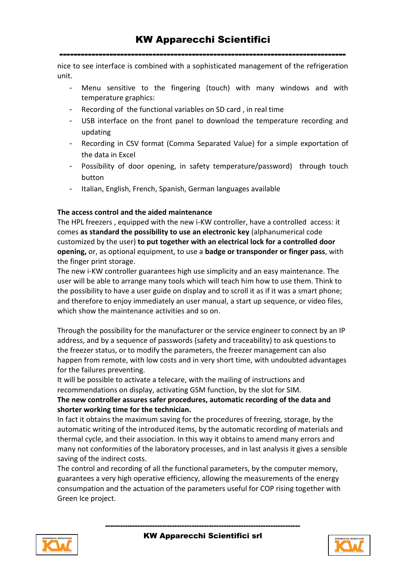nice to see interface is combined with a sophisticated management of the refrigeration unit.

- Menu sensitive to the fingering (touch) with many windows and with temperature graphics:
- Recording of the functional variables on SD card , in real time
- USB interface on the front panel to download the temperature recording and updating
- Recording in CSV format (Comma Separated Value) for a simple exportation of the data in Excel
- Possibility of door opening, in safety temperature/password) through touch button
- Italian, English, French, Spanish, German languages available

#### **The access control and the aided maintenance**

The HPL freezers , equipped with the new i-KW controller, have a controlled access: it comes **as standard the possibility to use an electronic key** (alphanumerical code customized by the user) **to put together with an electrical lock for a controlled door opening,** or, as optional equipment, to use a **badge or transponder or finger pass**, with the finger print storage.

The new i-KW controller guarantees high use simplicity and an easy maintenance. The user will be able to arrange many tools which will teach him how to use them. Think to the possibility to have a user guide on display and to scroll it as if it was a smart phone; and therefore to enjoy immediately an user manual, a start up sequence, or video files, which show the maintenance activities and so on.

Through the possibility for the manufacturer or the service engineer to connect by an IP address, and by a sequence of passwords (safety and traceability) to ask questions to the freezer status, or to modify the parameters, the freezer management can also happen from remote, with low costs and in very short time, with undoubted advantages for the failures preventing.

It will be possible to activate a telecare, with the mailing of instructions and recommendations on display, activating GSM function, by the slot for SIM.

#### **The new controller assures safer procedures, automatic recording of the data and shorter working time for the technician.**

In fact it obtains the maximum saving for the procedures of freezing, storage, by the automatic writing of the introduced items, by the automatic recording of materials and thermal cycle, and their association. In this way it obtains to amend many errors and many not conformities of the laboratory processes, and in last analysis it gives a sensible saving of the indirect costs.

The control and recording of all the functional parameters, by the computer memory, guarantees a very high operative efficiency, allowing the measurements of the energy consumpation and the actuation of the parameters useful for COP rising together with Green Ice project.



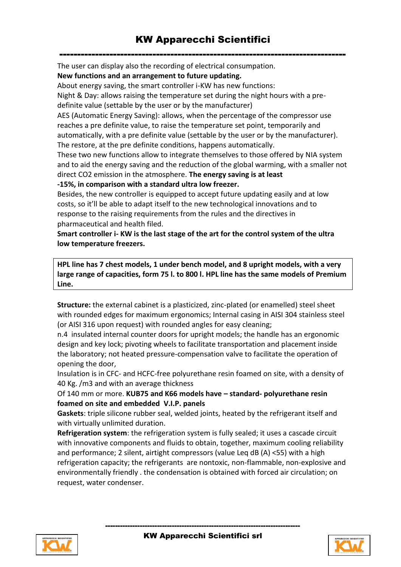The user can display also the recording of electrical consumpation.

**New functions and an arrangement to future updating.** 

About energy saving, the smart controller i-KW has new functions:

Night & Day: allows raising the temperature set during the night hours with a predefinite value (settable by the user or by the manufacturer)

AES (Automatic Energy Saving): allows, when the percentage of the compressor use reaches a pre definite value, to raise the temperature set point, temporarily and automatically, with a pre definite value (settable by the user or by the manufacturer). The restore, at the pre definite conditions, happens automatically.

These two new functions allow to integrate themselves to those offered by NIA system and to aid the energy saving and the reduction of the global warming, with a smaller not direct CO2 emission in the atmosphere. **The energy saving is at least** 

**-15%, in comparison with a standard ultra low freezer.** 

Besides, the new controller is equipped to accept future updating easily and at low costs, so it'll be able to adapt itself to the new technological innovations and to response to the raising requirements from the rules and the directives in pharmaceutical and health filed.

**Smart controller i- KW is the last stage of the art for the control system of the ultra low temperature freezers.** 

**HPL line has 7 chest models, 1 under bench model, and 8 upright models, with a very large range of capacities, form 75 l. to 800 l. HPL line has the same models of Premium Line.** 

**Structure:** the external cabinet is a plasticized, zinc-plated (or enamelled) steel sheet with rounded edges for maximum ergonomics; Internal casing in AISI 304 stainless steel (or AISI 316 upon request) with rounded angles for easy cleaning;

n.4 insulated internal counter doors for upright models; the handle has an ergonomic design and key lock; pivoting wheels to facilitate transportation and placement inside the laboratory; not heated pressure-compensation valve to facilitate the operation of opening the door,

Insulation is in CFC- and HCFC-free polyurethane resin foamed on site, with a density of 40 Kg. /m3 and with an average thickness

Of 140 mm or more. **KUB75 and K66 models have – standard- polyurethane resin foamed on site and embedded V.I.P. panels**

**Gaskets**: triple silicone rubber seal, welded joints, heated by the refrigerant itself and with virtually unlimited duration.

**Refrigeration system**: the refrigeration system is fully sealed; it uses a cascade circuit with innovative components and fluids to obtain, together, maximum cooling reliability and performance; 2 silent, airtight compressors (value Leq dB (A) <55) with a high refrigeration capacity; the refrigerants are nontoxic, non-flammable, non-explosive and environmentally friendly . the condensation is obtained with forced air circulation; on request, water condenser.



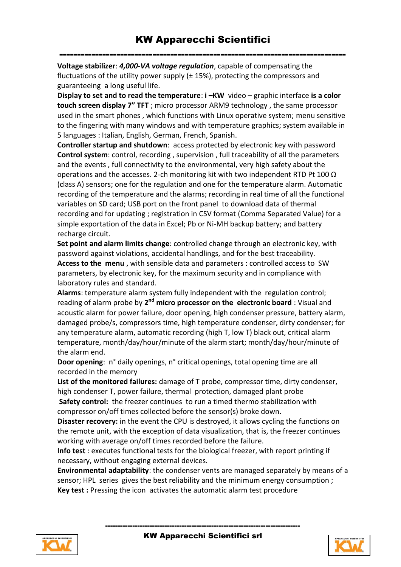**Voltage stabilizer**: *4,000-VA voltage regulation*, capable of compensating the fluctuations of the utility power supply  $(t 15%)$ , protecting the compressors and guaranteeing a long useful life.

**Display to set and to read the temperature: <b>i**-KW video – graphic interface is a color **touch screen display 7" TFT** ; micro processor ARM9 technology , the same processor used in the smart phones , which functions with Linux operative system; menu sensitive to the fingering with many windows and with temperature graphics; system available in 5 languages : Italian, English, German, French, Spanish.

**Controller startup and shutdown**: access protected by electronic key with password **Control system**: control, recording , supervision , full traceability of all the parameters and the events , full connectivity to the environmental, very high safety about the operations and the accesses. 2-ch monitoring kit with two independent RTD Pt 100  $\Omega$ (class A) sensors; one for the regulation and one for the temperature alarm. Automatic recording of the temperature and the alarms; recording in real time of all the functional variables on SD card; USB port on the front panel to download data of thermal recording and for updating ; registration in CSV format (Comma Separated Value) for a simple exportation of the data in Excel; Pb or Ni-MH backup battery; and battery recharge circuit.

**Set point and alarm limits change**: controlled change through an electronic key, with password against violations, accidental handlings, and for the best traceability. **Access to the menu** , with sensible data and parameters : controlled access to SW

parameters, by electronic key, for the maximum security and in compliance with laboratory rules and standard.

**Alarms**: temperature alarm system fully independent with the regulation control; reading of alarm probe by 2<sup>nd</sup> micro processor on the electronic board : Visual and acoustic alarm for power failure, door opening, high condenser pressure, battery alarm, damaged probe/s, compressors time, high temperature condenser, dirty condenser; for any temperature alarm, automatic recording (high T, low T) black out, critical alarm temperature, month/day/hour/minute of the alarm start; month/day/hour/minute of the alarm end.

**Door opening**: n° daily openings, n° critical openings, total opening time are all recorded in the memory

**List of the monitored failures:** damage of T probe, compressor time, dirty condenser, high condenser T, power failure, thermal protection, damaged plant probe **Safety control:** the freezer continues to run a timed thermo stabilization with compressor on/off times collected before the sensor(s) broke down.

**Disaster recovery:** in the event the CPU is destroyed, it allows cycling the functions on the remote unit, with the exception of data visualization, that is, the freezer continues working with average on/off times recorded before the failure.

**Info test** : executes functional tests for the biological freezer, with report printing if necessary, without engaging external devices.

**Environmental adaptability**: the condenser vents are managed separately by means of a sensor; HPL series gives the best reliability and the minimum energy consumption ; **Key test :** Pressing the icon activates the automatic alarm test procedure



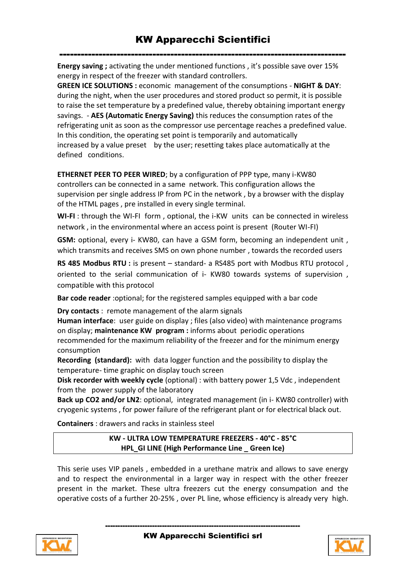**Energy saving ;** activating the under mentioned functions , it's possible save over 15% energy in respect of the freezer with standard controllers.

**GREEN ICE SOLUTIONS :** economic management of the consumptions - **NIGHT & DAY**: during the night, when the user procedures and stored product so permit, it is possible to raise the set temperature by a predefined value, thereby obtaining important energy savings. - **AES (Automatic Energy Saving)** this reduces the consumption rates of the refrigerating unit as soon as the compressor use percentage reaches a predefined value. In this condition, the operating set point is temporarily and automatically increased by a value preset by the user; resetting takes place automatically at the defined conditions.

**ETHERNET PEER TO PEER WIRED**; by a configuration of PPP type, many i-KW80 controllers can be connected in a same network. This configuration allows the supervision per single address IP from PC in the network , by a browser with the display of the HTML pages , pre installed in every single terminal.

**WI-FI** : through the WI-FI form , optional, the i-KW units can be connected in wireless network , in the environmental where an access point is present (Router WI-FI)

**GSM:** optional, every i- KW80, can have a GSM form, becoming an independent unit , which transmits and receives SMS on own phone number , towards the recorded users

**RS 485 Modbus RTU :** is present – standard- a RS485 port with Modbus RTU protocol , oriented to the serial communication of i- KW80 towards systems of supervision , compatible with this protocol

**Bar code reader** :optional; for the registered samples equipped with a bar code

**Dry contacts** : remote management of the alarm signals

**Human interface**: user guide on display ; files (also video) with maintenance programs on display; **maintenance KW program :** informs about periodic operations recommended for the maximum reliability of the freezer and for the minimum energy consumption

**Recording (standard):** with data logger function and the possibility to display the temperature- time graphic on display touch screen

**Disk recorder with weekly cycle** (optional) : with battery power 1,5 Vdc , independent from the power supply of the laboratory

**Back up CO2 and/or LN2**: optional, integrated management (in i- KW80 controller) with cryogenic systems , for power failure of the refrigerant plant or for electrical black out.

**Containers** : drawers and racks in stainless steel

**KW - ULTRA LOW TEMPERATURE FREEZERS - 40°C - 85°C HPL\_GI LINE (High Performance Line \_ Green Ice)**

This serie uses VIP panels , embedded in a urethane matrix and allows to save energy and to respect the environmental in a larger way in respect with the other freezer present in the market. These ultra freezers cut the energy consumpation and the operative costs of a further 20-25% , over PL line, whose efficiency is already very high.